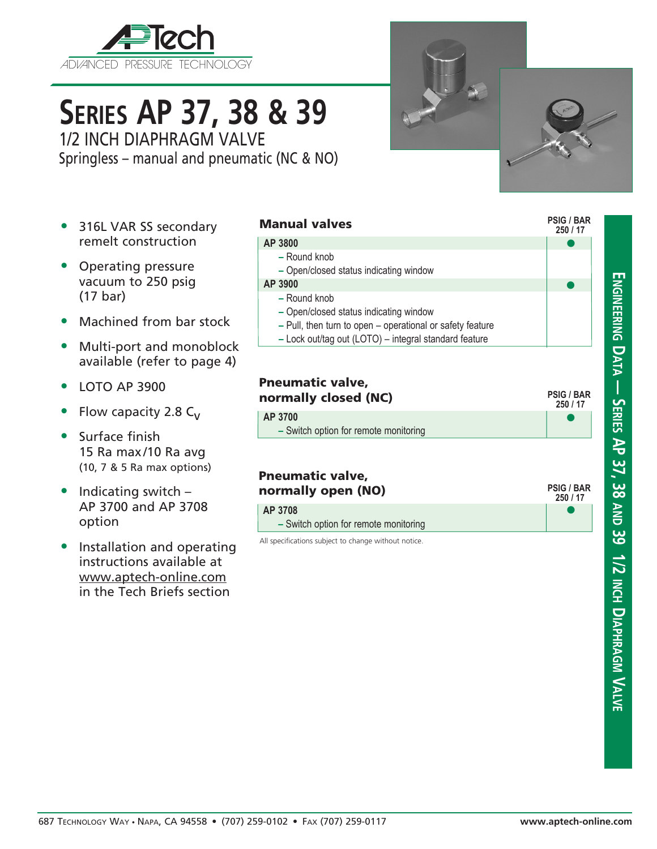

# **Series AP 37, 38 & 39**

1/2 INCH DIAPHRAGM VALVE Springless – manual and pneumatic (NC & NO)

- 316L VAR SS secondary remelt construction
- Operating pressure vacuum to 250 psig (17 bar)
- Machined from bar stock
- Multi-port and monoblock available (refer to page 4)
- LOTO AP 3900
- Flow capacity 2.8  $C_v$
- Surface finish 15 Ra max/10 Ra avg (10, 7 & 5 Ra max options)
- Indicating switch -AP 3700 and AP 3708 option
- Installation and operating instructions available at www.aptech-online.com in the Tech Briefs section

#### Manual valves

#### **AP 3800**

**–** Round knob **–** Open/closed status indicating window **AP 3900**

#### **–** Round knob

- **–** Open/closed status indicating window
- **–** Pull, then turn to open operational or safety feature
- **–** Lock out/tag out (LOTO) integral standard feature

| <b>Pneumatic valve,</b><br>normally closed (NC) | <b>PSIG / BAR</b><br>250 / 17 |
|-------------------------------------------------|-------------------------------|
| AP 3700                                         |                               |
| - Switch option for remote monitoring           |                               |

#### Pneumatic valve, normally open (NO) **AP 3708**

**250 / 17 PSIG / BAR**

 $\bullet$ 

 $\bullet$ 

**250 / 17**

 $\bullet$ 

 $\bullet$ 

**PSIG / BAR**

All specifications subject to change without notice. **–** Switch option for remote monitoring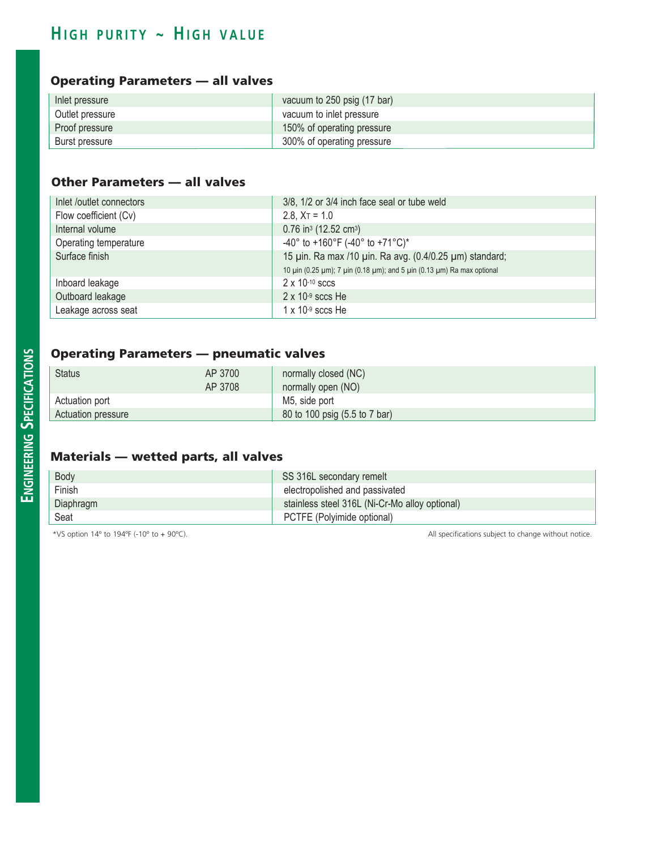## $H$  **1GH PURITY ~ HIGH VALUE**

#### Operating Parameters — all valves

| Inlet pressure  | vacuum to 250 psig (17 bar) |
|-----------------|-----------------------------|
| Outlet pressure | vacuum to inlet pressure    |
| Proof pressure  | 150% of operating pressure  |
| Burst pressure  | 300% of operating pressure  |

#### Other Parameters — all valves

| Inlet /outlet connectors | 3/8, 1/2 or 3/4 inch face seal or tube weld                            |  |
|--------------------------|------------------------------------------------------------------------|--|
| Flow coefficient (Cv)    | 2.8, $X_T = 1.0$                                                       |  |
| Internal volume          | $0.76$ in <sup>3</sup> (12.52 cm <sup>3</sup> )                        |  |
| Operating temperature    | -40° to +160°F (-40° to +71°C)*                                        |  |
| Surface finish           | 15 µin. Ra max /10 µin. Ra avg. (0.4/0.25 µm) standard;                |  |
|                          | 10 μin (0.25 μm); 7 μin (0.18 μm); and 5 μin (0.13 μm) Ra max optional |  |
| Inboard leakage          | $2 \times 10^{-10}$ sccs                                               |  |
| Outboard leakage         | $2 \times 10^{-9}$ sccs He                                             |  |
| Leakage across seat      | $1 \times 10^{-9}$ sccs He                                             |  |

#### Operating Parameters — pneumatic valves

| <b>Status</b>      | AP 3700 | normally closed (NC)          |  |
|--------------------|---------|-------------------------------|--|
|                    | AP 3708 | normally open (NO)            |  |
| Actuation port     |         | M5, side port                 |  |
| Actuation pressure |         | 80 to 100 psig (5.5 to 7 bar) |  |

#### Materials — wetted parts, all valves

| Body      | SS 316L secondary remelt                       |  |
|-----------|------------------------------------------------|--|
| Finish    | electropolished and passivated                 |  |
| Diaphragm | stainless steel 316L (Ni-Cr-Mo alloy optional) |  |
| Seat      | PCTFE (Polvimide optional)                     |  |

\*VS option 14º to 194ºF (-10º to + 90ºC). All specifications subject to change without notice.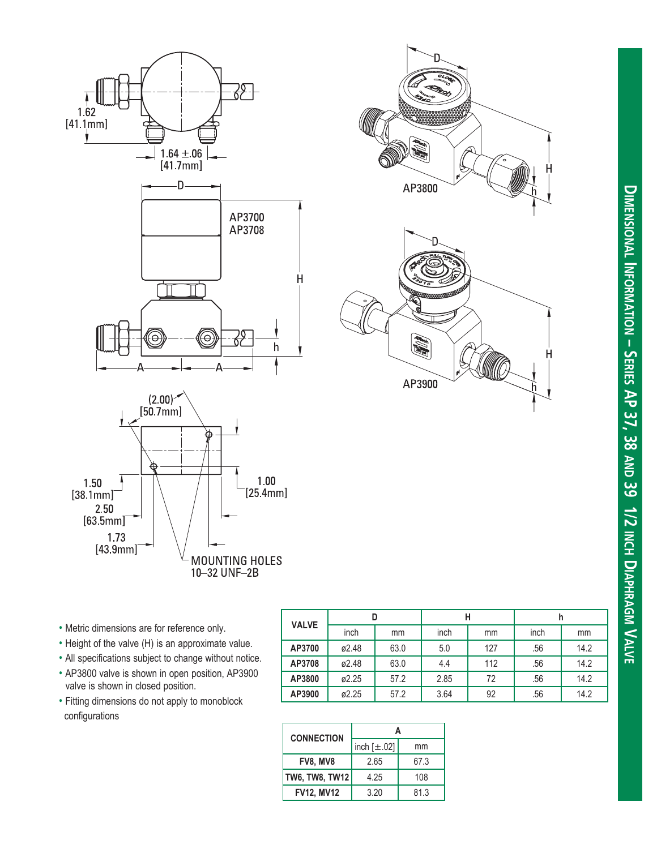



| $\circ$ | P.     |   |
|---------|--------|---|
|         | AP3900 | H |

- Metric dimensions are for reference only.
- Height of the valve (H) is an approximate value.
- All specifications subject to change without notice.
- AP3800 valve is shown in open position, AP3900 valve is shown in closed position.
- Fitting dimensions do not apply to monoblock configurations

| <b>VALVE</b> |       |      | н    |     | h    |      |
|--------------|-------|------|------|-----|------|------|
|              | inch  | mm   | inch | mm  | inch | mm   |
| AP3700       | ø2.48 | 63.0 | 5.0  | 127 | .56  | 14.2 |
| AP3708       | ø2.48 | 63.0 | 4.4  | 112 | .56  | 14.2 |
| AP3800       | ø2.25 | 57.2 | 2.85 | 72  | .56  | 14.2 |
| AP3900       | ø2.25 | 57.2 | 3.64 | 92  | .56  | 14.2 |

| <b>CONNECTION</b> |                  |      |  |
|-------------------|------------------|------|--|
|                   | inch $[\pm .02]$ | mm   |  |
| <b>FV8, MV8</b>   | 2.65             | 67.3 |  |
| TW6, TW8, TW12    | 4.25             | 108  |  |
| <b>FV12, MV12</b> | 3.20             | 81.3 |  |